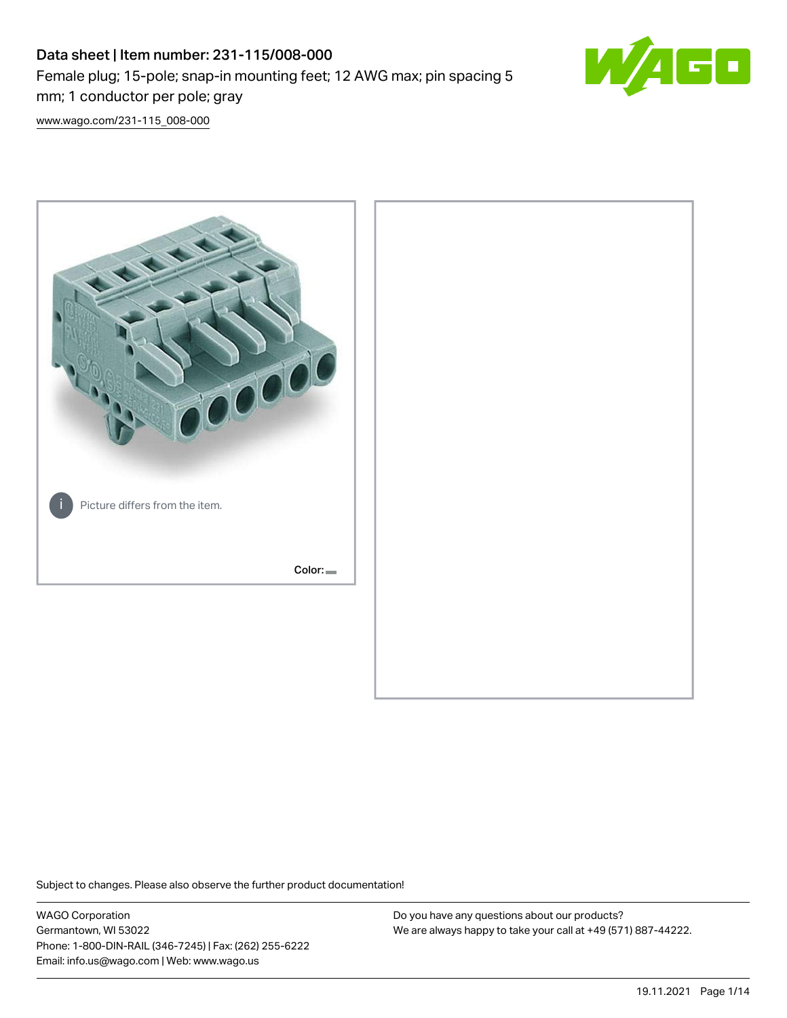# Data sheet | Item number: 231-115/008-000 Female plug; 15-pole; snap-in mounting feet; 12 AWG max; pin spacing 5 mm; 1 conductor per pole; gray



[www.wago.com/231-115\\_008-000](http://www.wago.com/231-115_008-000)



Subject to changes. Please also observe the further product documentation!

WAGO Corporation Germantown, WI 53022 Phone: 1-800-DIN-RAIL (346-7245) | Fax: (262) 255-6222 Email: info.us@wago.com | Web: www.wago.us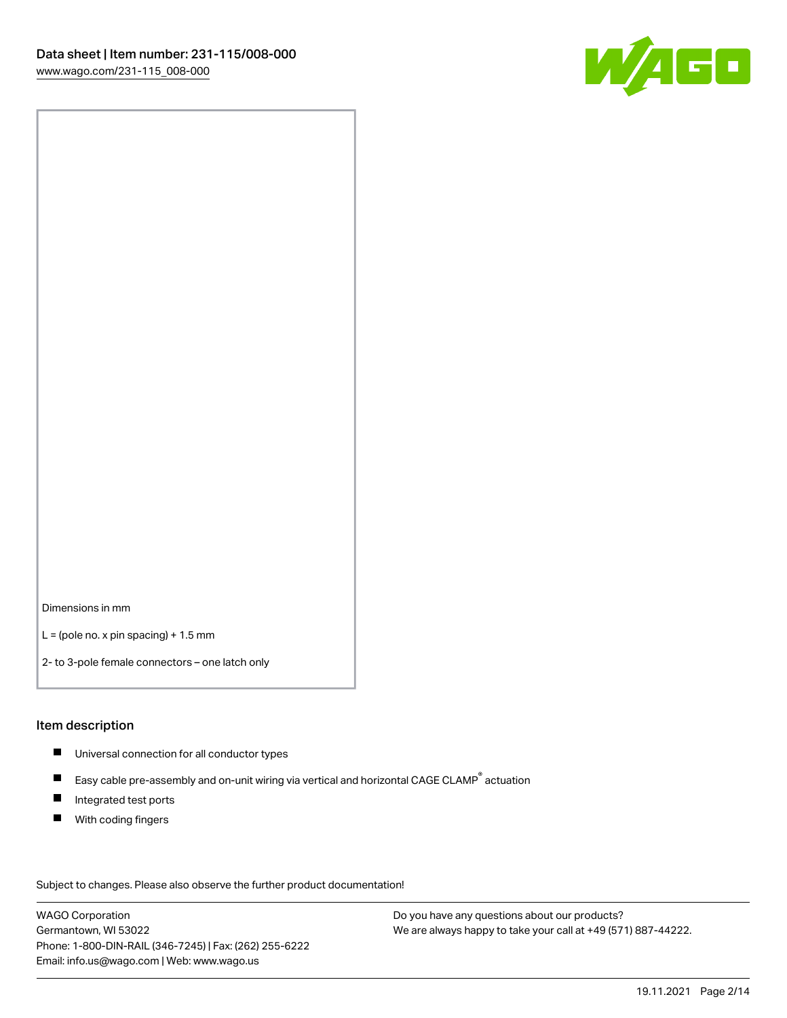

Dimensions in mm

 $L =$  (pole no. x pin spacing) + 1.5 mm

2- to 3-pole female connectors – one latch only

#### Item description

- **Universal connection for all conductor types**
- Easy cable pre-assembly and on-unit wiring via vertical and horizontal CAGE CLAMP<sup>®</sup> actuation  $\blacksquare$
- $\blacksquare$ Integrated test ports
- $\blacksquare$ With coding fingers

Subject to changes. Please also observe the further product documentation! Data

WAGO Corporation Germantown, WI 53022 Phone: 1-800-DIN-RAIL (346-7245) | Fax: (262) 255-6222 Email: info.us@wago.com | Web: www.wago.us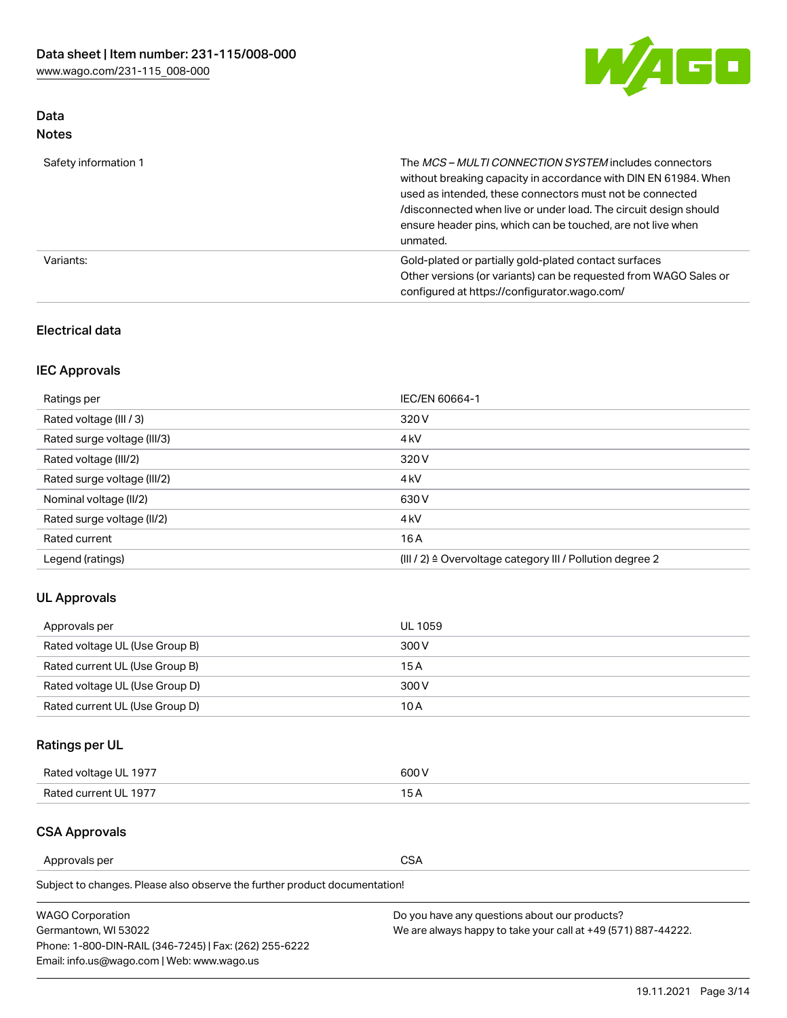

# Data Notes

| Safety information 1 | The MCS-MULTI CONNECTION SYSTEM includes connectors<br>without breaking capacity in accordance with DIN EN 61984. When<br>used as intended, these connectors must not be connected<br>/disconnected when live or under load. The circuit design should<br>ensure header pins, which can be touched, are not live when<br>unmated. |
|----------------------|-----------------------------------------------------------------------------------------------------------------------------------------------------------------------------------------------------------------------------------------------------------------------------------------------------------------------------------|
| Variants:            | Gold-plated or partially gold-plated contact surfaces<br>Other versions (or variants) can be requested from WAGO Sales or<br>configured at https://configurator.wago.com/                                                                                                                                                         |

# Electrical data

# IEC Approvals

| Ratings per                 | IEC/EN 60664-1                                                        |
|-----------------------------|-----------------------------------------------------------------------|
| Rated voltage (III / 3)     | 320 V                                                                 |
| Rated surge voltage (III/3) | 4 <sub>k</sub> V                                                      |
| Rated voltage (III/2)       | 320 V                                                                 |
| Rated surge voltage (III/2) | 4 <sub>k</sub> V                                                      |
| Nominal voltage (II/2)      | 630 V                                                                 |
| Rated surge voltage (II/2)  | 4 <sub>k</sub> V                                                      |
| Rated current               | 16A                                                                   |
| Legend (ratings)            | $(III / 2)$ $\triangle$ Overvoltage category III / Pollution degree 2 |

# UL Approvals

| Approvals per                  | UL 1059 |
|--------------------------------|---------|
| Rated voltage UL (Use Group B) | 300 V   |
| Rated current UL (Use Group B) | 15 A    |
| Rated voltage UL (Use Group D) | 300 V   |
| Rated current UL (Use Group D) | 10 A    |

# Ratings per UL

| Rated voltage UL 1977 | 300 V |
|-----------------------|-------|
| Rated current UL 1977 |       |

# CSA Approvals

Approvals per CSA

Subject to changes. Please also observe the further product documentation!

| <b>WAGO Corporation</b>                                | Do you have any questions about our products?                 |
|--------------------------------------------------------|---------------------------------------------------------------|
| Germantown, WI 53022                                   | We are always happy to take your call at +49 (571) 887-44222. |
| Phone: 1-800-DIN-RAIL (346-7245)   Fax: (262) 255-6222 |                                                               |
| Email: info.us@wago.com   Web: www.wago.us             |                                                               |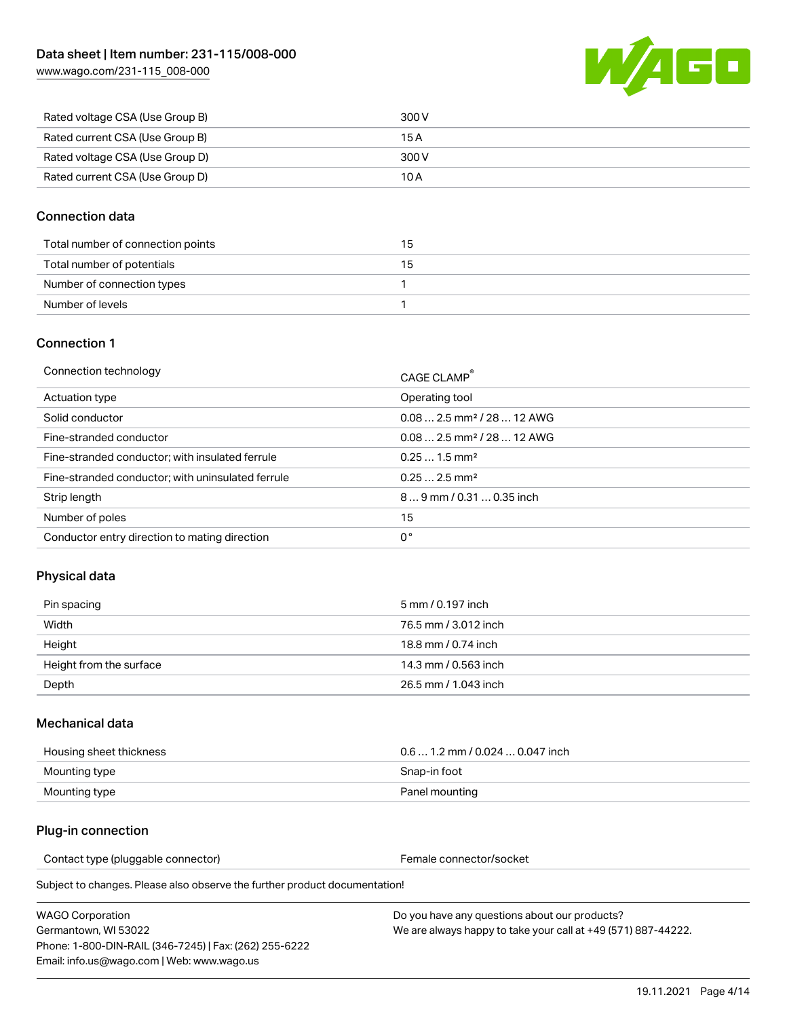

| Rated voltage CSA (Use Group B) | 300 V |
|---------------------------------|-------|
| Rated current CSA (Use Group B) | 15 A  |
| Rated voltage CSA (Use Group D) | 300 V |
| Rated current CSA (Use Group D) | 10 A  |

# Connection data

| Total number of connection points | 15 |
|-----------------------------------|----|
| Total number of potentials        | 15 |
| Number of connection types        |    |
| Number of levels                  |    |

## Connection 1

| Connection technology                             | CAGE CLAMP®                            |
|---------------------------------------------------|----------------------------------------|
| Actuation type                                    | Operating tool                         |
| Solid conductor                                   | $0.082.5$ mm <sup>2</sup> / 28  12 AWG |
| Fine-stranded conductor                           | $0.082.5$ mm <sup>2</sup> / 28  12 AWG |
| Fine-stranded conductor; with insulated ferrule   | $0.251.5$ mm <sup>2</sup>              |
| Fine-stranded conductor; with uninsulated ferrule | $0.252.5$ mm <sup>2</sup>              |
| Strip length                                      | $89$ mm / 0.31  0.35 inch              |
| Number of poles                                   | 15                                     |
| Conductor entry direction to mating direction     | 0°                                     |
|                                                   |                                        |

# Physical data

| Pin spacing             | 5 mm / 0.197 inch    |
|-------------------------|----------------------|
| Width                   | 76.5 mm / 3.012 inch |
| Height                  | 18.8 mm / 0.74 inch  |
| Height from the surface | 14.3 mm / 0.563 inch |
| Depth                   | 26.5 mm / 1.043 inch |

## Mechanical data

| Housing sheet thickness | $0.61.2$ mm $/0.0240.047$ inch |
|-------------------------|--------------------------------|
| Mounting type           | Snap-in foot                   |
| Mounting type           | Panel mounting                 |

## Plug-in connection

Contact type (pluggable connector) example and the Female connector/socket

Subject to changes. Please also observe the further product documentation!

WAGO Corporation Germantown, WI 53022 Phone: 1-800-DIN-RAIL (346-7245) | Fax: (262) 255-6222 Email: info.us@wago.com | Web: www.wago.us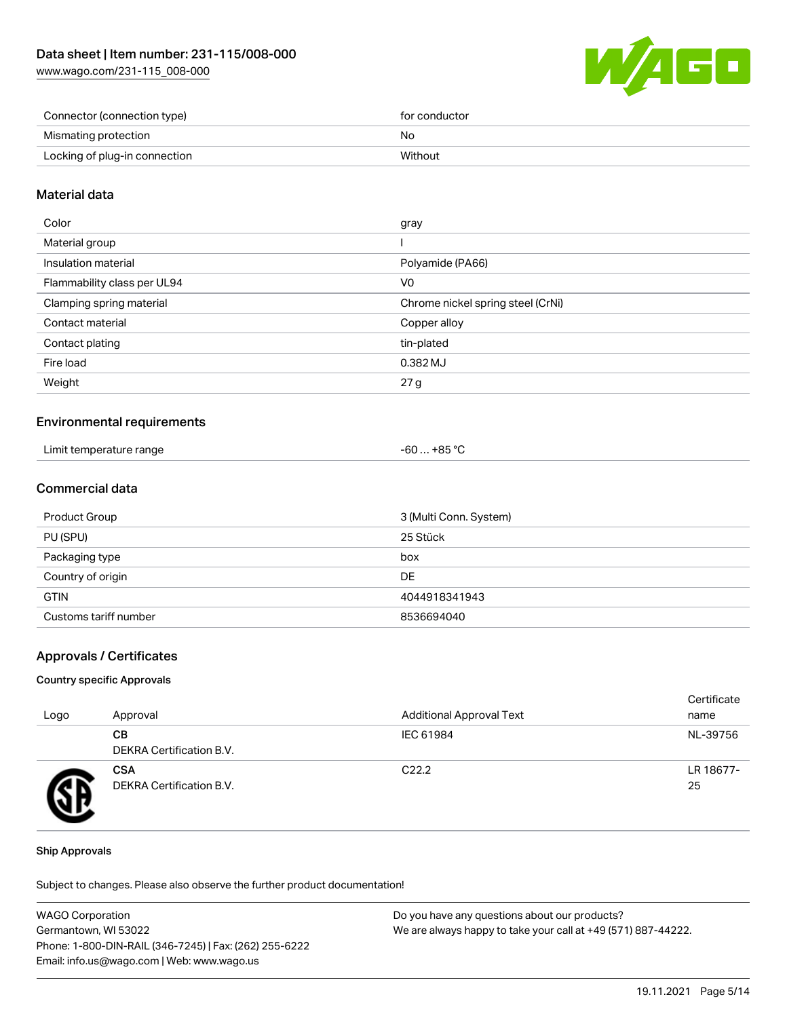[www.wago.com/231-115\\_008-000](http://www.wago.com/231-115_008-000)



| Connector (connection type)   | for conductor |
|-------------------------------|---------------|
| Mismating protection          | No            |
| Locking of plug-in connection | Without       |

# Material data

| Color                       | gray                              |
|-----------------------------|-----------------------------------|
| Material group              |                                   |
| Insulation material         | Polyamide (PA66)                  |
| Flammability class per UL94 | V <sub>0</sub>                    |
| Clamping spring material    | Chrome nickel spring steel (CrNi) |
| Contact material            | Copper alloy                      |
| Contact plating             | tin-plated                        |
| Fire load                   | 0.382 MJ                          |
| Weight                      | 27 g                              |
|                             |                                   |

## Environmental requirements

| Limit temperature range<br>. | $-60+85 °C$ |
|------------------------------|-------------|
|------------------------------|-------------|

# Commercial data

| Product Group         | 3 (Multi Conn. System) |
|-----------------------|------------------------|
| PU (SPU)              | 25 Stück               |
| Packaging type        | box                    |
| Country of origin     | DE                     |
| <b>GTIN</b>           | 4044918341943          |
| Customs tariff number | 8536694040             |

## Approvals / Certificates

#### Country specific Approvals

| Logo | Approval                               | <b>Additional Approval Text</b> | Certificate<br>name |
|------|----------------------------------------|---------------------------------|---------------------|
|      | CВ<br><b>DEKRA Certification B.V.</b>  | IEC 61984                       | NL-39756            |
|      | <b>CSA</b><br>DEKRA Certification B.V. | C <sub>22.2</sub>               | LR 18677-<br>25     |

#### Ship Approvals

Subject to changes. Please also observe the further product documentation!

| <b>WAGO Corporation</b>                                | Do you have any questions about our products?                 |
|--------------------------------------------------------|---------------------------------------------------------------|
| Germantown, WI 53022                                   | We are always happy to take your call at +49 (571) 887-44222. |
| Phone: 1-800-DIN-RAIL (346-7245)   Fax: (262) 255-6222 |                                                               |
| Email: info.us@wago.com   Web: www.wago.us             |                                                               |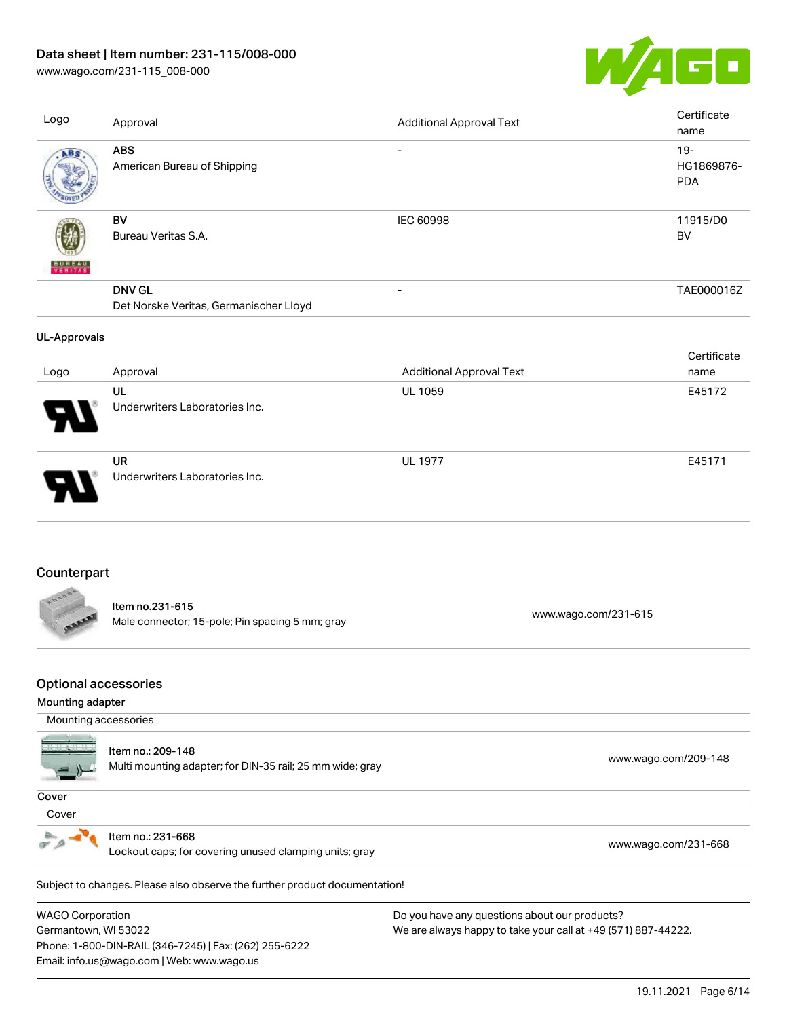[www.wago.com/231-115\\_008-000](http://www.wago.com/231-115_008-000)



| Logo                | Approval                                                           | <b>Additional Approval Text</b> | Certificate<br>name                |
|---------------------|--------------------------------------------------------------------|---------------------------------|------------------------------------|
| ABS                 | <b>ABS</b><br>American Bureau of Shipping                          |                                 | $19 -$<br>HG1869876-<br><b>PDA</b> |
|                     | <b>BV</b><br>Bureau Veritas S.A.                                   | <b>IEC 60998</b>                | 11915/D0<br><b>BV</b>              |
|                     | <b>DNV GL</b><br>Det Norske Veritas, Germanischer Lloyd            |                                 | TAE000016Z                         |
| <b>UL-Approvals</b> |                                                                    |                                 |                                    |
| Logo                | Approval                                                           | <b>Additional Approval Text</b> | Certificate<br>name                |
|                     | UL<br>Underwriters Laboratories Inc.                               | <b>UL 1059</b>                  | E45172                             |
|                     | <b>UR</b><br>Underwriters Laboratories Inc.                        | <b>UL 1977</b>                  | E45171                             |
| Counterpart         |                                                                    |                                 |                                    |
|                     | Item no.231-615<br>Male connector; 15-pole; Pin spacing 5 mm; gray | www.wago.com/231-615            |                                    |
|                     |                                                                    |                                 |                                    |

# Optional accessories

#### Mounting adapter

| Mounting accessories |
|----------------------|
|----------------------|

Item no.: 209-148

Multi mounting adapter; for DIN-35 rail; 25 mm wide; gray [www.wago.com/209-148](http://www.wago.com/209-148)

#### Cover

| ۰,<br>٠<br>×<br>٧ |  |
|-------------------|--|



Item no.: 231-668

Lockout caps; for covering unused clamping units; gray [www.wago.com/231-668](http://www.wago.com/231-668)

Subject to changes. Please also observe the further product documentation! Jumpers

WAGO Corporation Germantown, WI 53022 Phone: 1-800-DIN-RAIL (346-7245) | Fax: (262) 255-6222 Email: info.us@wago.com | Web: www.wago.us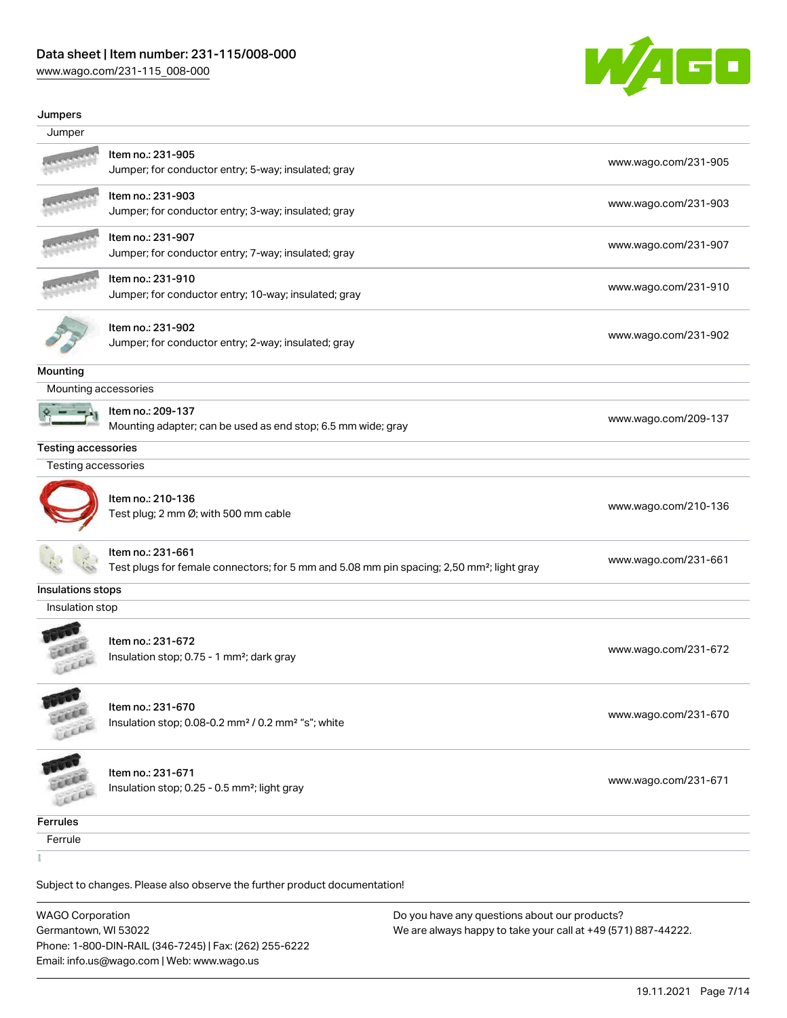[www.wago.com/231-115\\_008-000](http://www.wago.com/231-115_008-000)



#### Jumpers

| Jumper                     |                                                                                                                            |                      |
|----------------------------|----------------------------------------------------------------------------------------------------------------------------|----------------------|
|                            | Item no.: 231-905<br>Jumper; for conductor entry; 5-way; insulated; gray                                                   | www.wago.com/231-905 |
|                            | Item no.: 231-903<br>Jumper; for conductor entry; 3-way; insulated; gray                                                   | www.wago.com/231-903 |
|                            | Item no.: 231-907<br>Jumper; for conductor entry; 7-way; insulated; gray                                                   | www.wago.com/231-907 |
|                            | Item no.: 231-910<br>Jumper; for conductor entry; 10-way; insulated; gray                                                  | www.wago.com/231-910 |
|                            | Item no.: 231-902<br>Jumper; for conductor entry; 2-way; insulated; gray                                                   | www.wago.com/231-902 |
| Mounting                   |                                                                                                                            |                      |
| Mounting accessories       |                                                                                                                            |                      |
|                            | Item no.: 209-137<br>Mounting adapter; can be used as end stop; 6.5 mm wide; gray                                          | www.wago.com/209-137 |
| <b>Testing accessories</b> |                                                                                                                            |                      |
| Testing accessories        |                                                                                                                            |                      |
|                            | Item no.: 210-136<br>Test plug; 2 mm Ø; with 500 mm cable                                                                  | www.wago.com/210-136 |
|                            | Item no.: 231-661<br>Test plugs for female connectors; for 5 mm and 5.08 mm pin spacing; 2,50 mm <sup>2</sup> ; light gray | www.wago.com/231-661 |
| Insulations stops          |                                                                                                                            |                      |
| Insulation stop            |                                                                                                                            |                      |
| FILE                       | Item no.: 231-672<br>Insulation stop; 0.75 - 1 mm <sup>2</sup> ; dark gray                                                 | www.wago.com/231-672 |
| <b>COMP</b>                | Item no.: 231-670<br>Insulation stop; 0.08-0.2 mm <sup>2</sup> / 0.2 mm <sup>2</sup> "s"; white                            | www.wago.com/231-670 |
|                            | Item no.: 231-671<br>Insulation stop; 0.25 - 0.5 mm <sup>2</sup> ; light gray                                              | www.wago.com/231-671 |
| Ferrules                   |                                                                                                                            |                      |
| Ferrule                    |                                                                                                                            |                      |
| ĭ                          |                                                                                                                            |                      |
|                            | Subject to changes. Please also observe the further product documentation!                                                 |                      |

WAGO Corporation Germantown, WI 53022 Phone: 1-800-DIN-RAIL (346-7245) | Fax: (262) 255-6222 Email: info.us@wago.com | Web: www.wago.us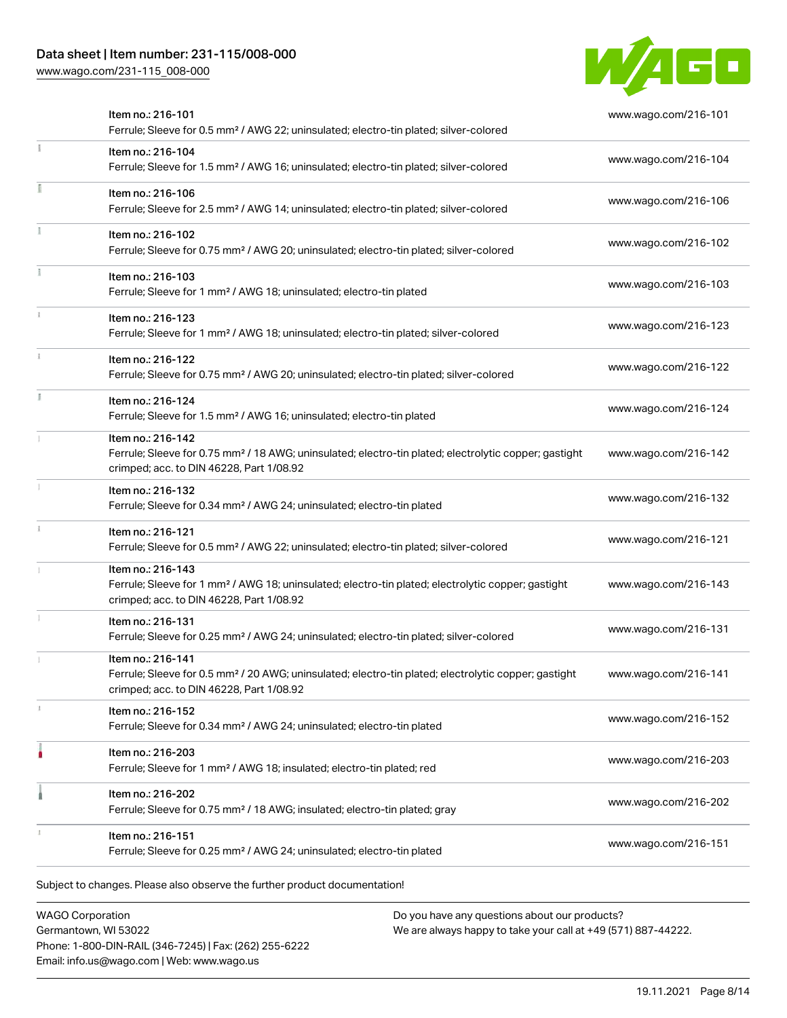[www.wago.com/231-115\\_008-000](http://www.wago.com/231-115_008-000)



| Item no.: 216-101<br>Ferrule; Sleeve for 0.5 mm <sup>2</sup> / AWG 22; uninsulated; electro-tin plated; silver-colored                                                             | www.wago.com/216-101 |
|------------------------------------------------------------------------------------------------------------------------------------------------------------------------------------|----------------------|
| Item no.: 216-104<br>Ferrule; Sleeve for 1.5 mm <sup>2</sup> / AWG 16; uninsulated; electro-tin plated; silver-colored                                                             | www.wago.com/216-104 |
| Item no.: 216-106<br>Ferrule; Sleeve for 2.5 mm <sup>2</sup> / AWG 14; uninsulated; electro-tin plated; silver-colored                                                             | www.wago.com/216-106 |
| Item no.: 216-102<br>Ferrule; Sleeve for 0.75 mm <sup>2</sup> / AWG 20; uninsulated; electro-tin plated; silver-colored                                                            | www.wago.com/216-102 |
| Item no.: 216-103<br>Ferrule; Sleeve for 1 mm <sup>2</sup> / AWG 18; uninsulated; electro-tin plated                                                                               | www.wago.com/216-103 |
| Item no.: 216-123<br>Ferrule; Sleeve for 1 mm <sup>2</sup> / AWG 18; uninsulated; electro-tin plated; silver-colored                                                               | www.wago.com/216-123 |
| Item no.: 216-122<br>Ferrule; Sleeve for 0.75 mm <sup>2</sup> / AWG 20; uninsulated; electro-tin plated; silver-colored                                                            | www.wago.com/216-122 |
| Item no.: 216-124<br>Ferrule; Sleeve for 1.5 mm <sup>2</sup> / AWG 16; uninsulated; electro-tin plated                                                                             | www.wago.com/216-124 |
| Item no.: 216-142<br>Ferrule; Sleeve for 0.75 mm <sup>2</sup> / 18 AWG; uninsulated; electro-tin plated; electrolytic copper; gastight<br>crimped; acc. to DIN 46228, Part 1/08.92 | www.wago.com/216-142 |
| Item no.: 216-132<br>Ferrule; Sleeve for 0.34 mm <sup>2</sup> / AWG 24; uninsulated; electro-tin plated                                                                            | www.wago.com/216-132 |
| Item no.: 216-121<br>Ferrule; Sleeve for 0.5 mm <sup>2</sup> / AWG 22; uninsulated; electro-tin plated; silver-colored                                                             | www.wago.com/216-121 |
| Item no.: 216-143<br>Ferrule; Sleeve for 1 mm <sup>2</sup> / AWG 18; uninsulated; electro-tin plated; electrolytic copper; gastight<br>crimped; acc. to DIN 46228, Part 1/08.92    | www.wago.com/216-143 |
| Item no.: 216-131<br>Ferrule; Sleeve for 0.25 mm <sup>2</sup> / AWG 24; uninsulated; electro-tin plated; silver-colored                                                            | www.wago.com/216-131 |
| Item no.: 216-141<br>Ferrule; Sleeve for 0.5 mm <sup>2</sup> / 20 AWG; uninsulated; electro-tin plated; electrolytic copper; gastight<br>crimped; acc. to DIN 46228, Part 1/08.92  | www.wago.com/216-141 |
| Item no.: 216-152<br>Ferrule; Sleeve for 0.34 mm <sup>2</sup> / AWG 24; uninsulated; electro-tin plated                                                                            | www.wago.com/216-152 |
| Item no.: 216-203<br>Ferrule; Sleeve for 1 mm <sup>2</sup> / AWG 18; insulated; electro-tin plated; red                                                                            | www.wago.com/216-203 |
| Item no.: 216-202<br>Ferrule; Sleeve for 0.75 mm <sup>2</sup> / 18 AWG; insulated; electro-tin plated; gray                                                                        | www.wago.com/216-202 |
| Item no.: 216-151<br>Ferrule; Sleeve for 0.25 mm <sup>2</sup> / AWG 24; uninsulated; electro-tin plated                                                                            | www.wago.com/216-151 |

WAGO Corporation Germantown, WI 53022 Phone: 1-800-DIN-RAIL (346-7245) | Fax: (262) 255-6222 Email: info.us@wago.com | Web: www.wago.us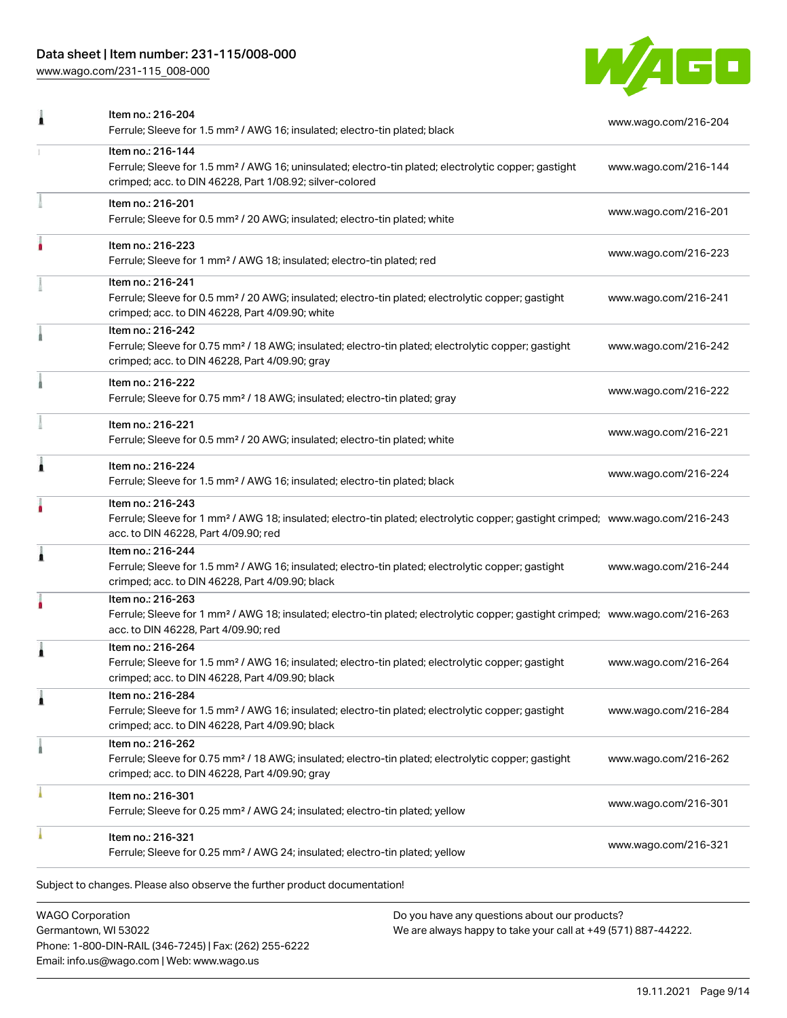[www.wago.com/231-115\\_008-000](http://www.wago.com/231-115_008-000)



| Item no.: 216-204<br>Ferrule; Sleeve for 1.5 mm <sup>2</sup> / AWG 16; insulated; electro-tin plated; black                                                                                             | www.wago.com/216-204 |
|---------------------------------------------------------------------------------------------------------------------------------------------------------------------------------------------------------|----------------------|
| Item no.: 216-144<br>Ferrule; Sleeve for 1.5 mm <sup>2</sup> / AWG 16; uninsulated; electro-tin plated; electrolytic copper; gastight<br>crimped; acc. to DIN 46228, Part 1/08.92; silver-colored       | www.wago.com/216-144 |
| Item no.: 216-201<br>Ferrule; Sleeve for 0.5 mm <sup>2</sup> / 20 AWG; insulated; electro-tin plated; white                                                                                             | www.wago.com/216-201 |
| Item no.: 216-223<br>Ferrule; Sleeve for 1 mm <sup>2</sup> / AWG 18; insulated; electro-tin plated; red                                                                                                 | www.wago.com/216-223 |
| Item no.: 216-241<br>Ferrule; Sleeve for 0.5 mm <sup>2</sup> / 20 AWG; insulated; electro-tin plated; electrolytic copper; gastight<br>crimped; acc. to DIN 46228, Part 4/09.90; white                  | www.wago.com/216-241 |
| Item no.: 216-242<br>Ferrule; Sleeve for 0.75 mm <sup>2</sup> / 18 AWG; insulated; electro-tin plated; electrolytic copper; gastight<br>crimped; acc. to DIN 46228, Part 4/09.90; gray                  | www.wago.com/216-242 |
| Item no.: 216-222<br>Ferrule; Sleeve for 0.75 mm <sup>2</sup> / 18 AWG; insulated; electro-tin plated; gray                                                                                             | www.wago.com/216-222 |
| Item no.: 216-221<br>Ferrule; Sleeve for 0.5 mm <sup>2</sup> / 20 AWG; insulated; electro-tin plated; white                                                                                             | www.wago.com/216-221 |
| Item no.: 216-224<br>Ferrule; Sleeve for 1.5 mm <sup>2</sup> / AWG 16; insulated; electro-tin plated; black                                                                                             | www.wago.com/216-224 |
| Item no.: 216-243<br>Ferrule; Sleeve for 1 mm <sup>2</sup> / AWG 18; insulated; electro-tin plated; electrolytic copper; gastight crimped; www.wago.com/216-243<br>acc. to DIN 46228, Part 4/09.90; red |                      |
| Item no.: 216-244<br>Ferrule; Sleeve for 1.5 mm <sup>2</sup> / AWG 16; insulated; electro-tin plated; electrolytic copper; gastight<br>crimped; acc. to DIN 46228, Part 4/09.90; black                  | www.wago.com/216-244 |
| Item no.: 216-263<br>Ferrule; Sleeve for 1 mm <sup>2</sup> / AWG 18; insulated; electro-tin plated; electrolytic copper; gastight crimped; www.wago.com/216-263<br>acc. to DIN 46228, Part 4/09.90; red |                      |
| Item no.: 216-264<br>Ferrule; Sleeve for 1.5 mm <sup>2</sup> / AWG 16; insulated; electro-tin plated; electrolytic copper; gastight<br>crimped; acc. to DIN 46228, Part 4/09.90; black                  | www.wago.com/216-264 |
| Item no.: 216-284<br>Ferrule; Sleeve for 1.5 mm <sup>2</sup> / AWG 16; insulated; electro-tin plated; electrolytic copper; gastight<br>crimped; acc. to DIN 46228, Part 4/09.90; black                  | www.wago.com/216-284 |
| Item no.: 216-262<br>Ferrule; Sleeve for 0.75 mm <sup>2</sup> / 18 AWG; insulated; electro-tin plated; electrolytic copper; gastight<br>crimped; acc. to DIN 46228, Part 4/09.90; gray                  | www.wago.com/216-262 |
| Item no.: 216-301<br>Ferrule; Sleeve for 0.25 mm <sup>2</sup> / AWG 24; insulated; electro-tin plated; yellow                                                                                           | www.wago.com/216-301 |
| Item no.: 216-321<br>Ferrule; Sleeve for 0.25 mm <sup>2</sup> / AWG 24; insulated; electro-tin plated; yellow                                                                                           | www.wago.com/216-321 |
|                                                                                                                                                                                                         |                      |

WAGO Corporation Germantown, WI 53022 Phone: 1-800-DIN-RAIL (346-7245) | Fax: (262) 255-6222 Email: info.us@wago.com | Web: www.wago.us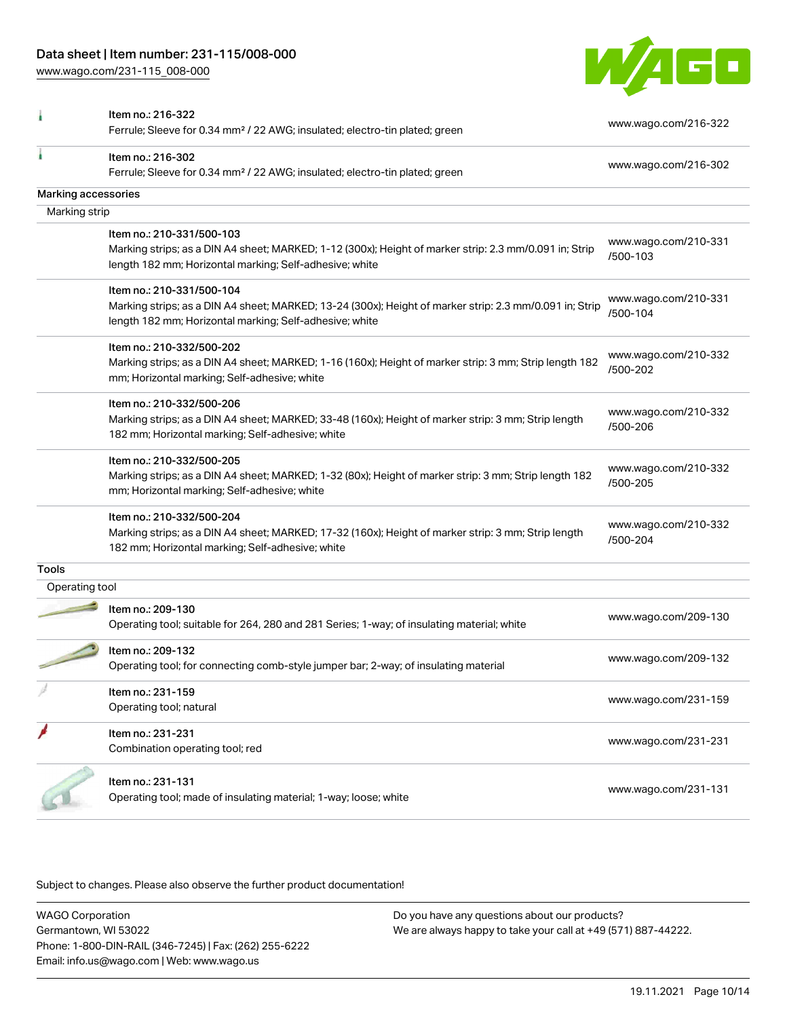[www.wago.com/231-115\\_008-000](http://www.wago.com/231-115_008-000)



|                     | Item no.: 216-322<br>Ferrule; Sleeve for 0.34 mm <sup>2</sup> / 22 AWG; insulated; electro-tin plated; green                                                                                    | www.wago.com/216-322             |
|---------------------|-------------------------------------------------------------------------------------------------------------------------------------------------------------------------------------------------|----------------------------------|
|                     | Item no.: 216-302<br>Ferrule; Sleeve for 0.34 mm <sup>2</sup> / 22 AWG; insulated; electro-tin plated; green                                                                                    | www.wago.com/216-302             |
| Marking accessories |                                                                                                                                                                                                 |                                  |
| Marking strip       |                                                                                                                                                                                                 |                                  |
|                     | Item no.: 210-331/500-103<br>Marking strips; as a DIN A4 sheet; MARKED; 1-12 (300x); Height of marker strip: 2.3 mm/0.091 in; Strip<br>length 182 mm; Horizontal marking; Self-adhesive; white  | www.wago.com/210-331<br>/500-103 |
|                     | Item no.: 210-331/500-104<br>Marking strips; as a DIN A4 sheet; MARKED; 13-24 (300x); Height of marker strip: 2.3 mm/0.091 in; Strip<br>length 182 mm; Horizontal marking; Self-adhesive; white | www.wago.com/210-331<br>/500-104 |
|                     | Item no.: 210-332/500-202<br>Marking strips; as a DIN A4 sheet; MARKED; 1-16 (160x); Height of marker strip: 3 mm; Strip length 182<br>mm; Horizontal marking; Self-adhesive; white             | www.wago.com/210-332<br>/500-202 |
|                     | Item no.: 210-332/500-206<br>Marking strips; as a DIN A4 sheet; MARKED; 33-48 (160x); Height of marker strip: 3 mm; Strip length<br>182 mm; Horizontal marking; Self-adhesive; white            | www.wago.com/210-332<br>/500-206 |
|                     | Item no.: 210-332/500-205<br>Marking strips; as a DIN A4 sheet; MARKED; 1-32 (80x); Height of marker strip: 3 mm; Strip length 182<br>mm; Horizontal marking; Self-adhesive; white              | www.wago.com/210-332<br>/500-205 |
|                     | Item no.: 210-332/500-204<br>Marking strips; as a DIN A4 sheet; MARKED; 17-32 (160x); Height of marker strip: 3 mm; Strip length<br>182 mm; Horizontal marking; Self-adhesive; white            | www.wago.com/210-332<br>/500-204 |
| Tools               |                                                                                                                                                                                                 |                                  |
| Operating tool      |                                                                                                                                                                                                 |                                  |
|                     | Item no.: 209-130<br>Operating tool; suitable for 264, 280 and 281 Series; 1-way; of insulating material; white                                                                                 | www.wago.com/209-130             |
|                     | Item no.: 209-132<br>Operating tool; for connecting comb-style jumper bar; 2-way; of insulating material                                                                                        | www.wago.com/209-132             |
|                     | Item no.: 231-159<br>Operating tool; natural                                                                                                                                                    | www.wago.com/231-159             |
|                     | Item no.: 231-231<br>Combination operating tool; red                                                                                                                                            | www.wago.com/231-231             |
|                     | Item no.: 231-131<br>Operating tool; made of insulating material; 1-way; loose; white                                                                                                           | www.wago.com/231-131             |

Subject to changes. Please also observe the further product documentation!

WAGO Corporation Germantown, WI 53022 Phone: 1-800-DIN-RAIL (346-7245) | Fax: (262) 255-6222 Email: info.us@wago.com | Web: www.wago.us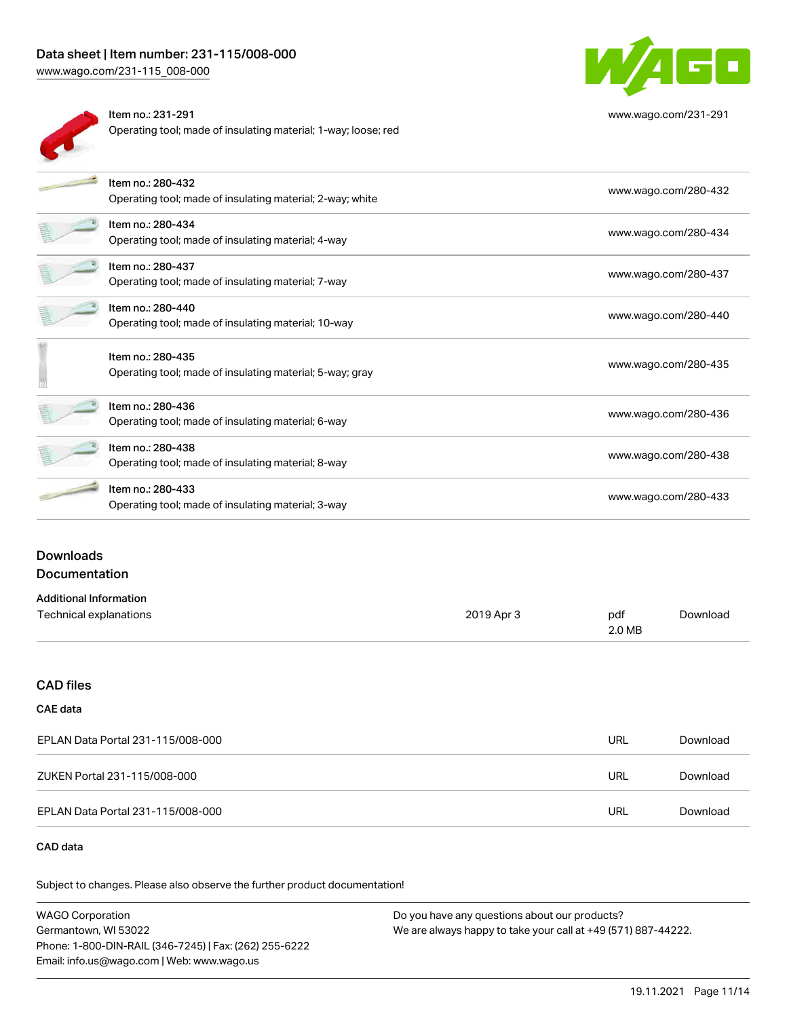[www.wago.com/231-115\\_008-000](http://www.wago.com/231-115_008-000)



Item no.: 231-291 Operating tool; made of insulating material; 1-way; loose; red



[www.wago.com/231-291](http://www.wago.com/231-291)

| Item no.: 280-432<br>Operating tool; made of insulating material; 2-way; white | www.wago.com/280-432 |
|--------------------------------------------------------------------------------|----------------------|
| Item no.: 280-434<br>Operating tool; made of insulating material; 4-way        | www.wago.com/280-434 |
| Item no.: 280-437<br>Operating tool; made of insulating material; 7-way        | www.wago.com/280-437 |
| Item no.: 280-440<br>Operating tool; made of insulating material; 10-way       | www.wago.com/280-440 |
| Item no.: 280-435<br>Operating tool; made of insulating material; 5-way; gray  | www.wago.com/280-435 |
| Item no.: 280-436<br>Operating tool; made of insulating material; 6-way        | www.wago.com/280-436 |
| Item no.: 280-438<br>Operating tool; made of insulating material; 8-way        | www.wago.com/280-438 |
| Item no.: 280-433<br>Operating tool; made of insulating material; 3-way        | www.wago.com/280-433 |
|                                                                                |                      |

# Downloads Documentation

| <b>Additional Information</b> |            |        |          |
|-------------------------------|------------|--------|----------|
| Technical explanations        | 2019 Apr 3 | pdf    | Download |
|                               |            | 2.0 MB |          |

# CAD files

# CAE data

| EPLAN Data Portal 231-115/008-000 | URL | Download |
|-----------------------------------|-----|----------|
| ZUKEN Portal 231-115/008-000      | URL | Download |
| EPLAN Data Portal 231-115/008-000 | URL | Download |

# CAD data

Subject to changes. Please also observe the further product documentation!

| WAGO Corporation                                       | Do you have any questions about our products?                 |
|--------------------------------------------------------|---------------------------------------------------------------|
| Germantown. WI 53022                                   | We are always happy to take your call at +49 (571) 887-44222. |
| Phone: 1-800-DIN-RAIL (346-7245)   Fax: (262) 255-6222 |                                                               |
| Email: info.us@wago.com   Web: www.wago.us             |                                                               |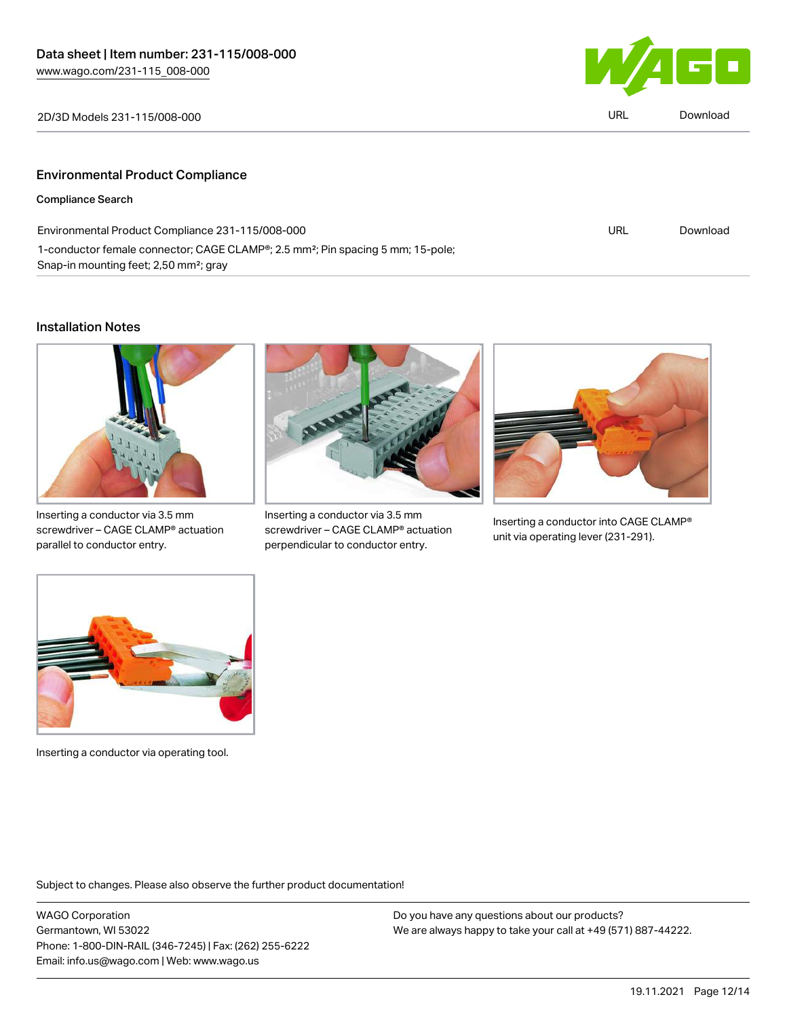

| 2D/3D Models 231-115/008-000            | URL | Download |
|-----------------------------------------|-----|----------|
|                                         |     |          |
| <b>Environmental Product Compliance</b> |     |          |
| <b>Compliance Search</b>                |     |          |

| Environmental Product Compliance 231-115/008-000                                                         | URL | Download |
|----------------------------------------------------------------------------------------------------------|-----|----------|
| 1-conductor female connector; CAGE CLAMP <sup>®</sup> ; 2.5 mm <sup>2</sup> ; Pin spacing 5 mm; 15-pole; |     |          |
| Snap-in mounting feet; 2,50 mm <sup>2</sup> ; gray                                                       |     |          |

## Installation Notes



Inserting a conductor via 3.5 mm screwdriver – CAGE CLAMP® actuation parallel to conductor entry.



Inserting a conductor via 3.5 mm screwdriver – CAGE CLAMP® actuation perpendicular to conductor entry.



Inserting a conductor into CAGE CLAMP® unit via operating lever (231-291).



Inserting a conductor via operating tool.

Subject to changes. Please also observe the further product documentation!

WAGO Corporation Germantown, WI 53022 Phone: 1-800-DIN-RAIL (346-7245) | Fax: (262) 255-6222 Email: info.us@wago.com | Web: www.wago.us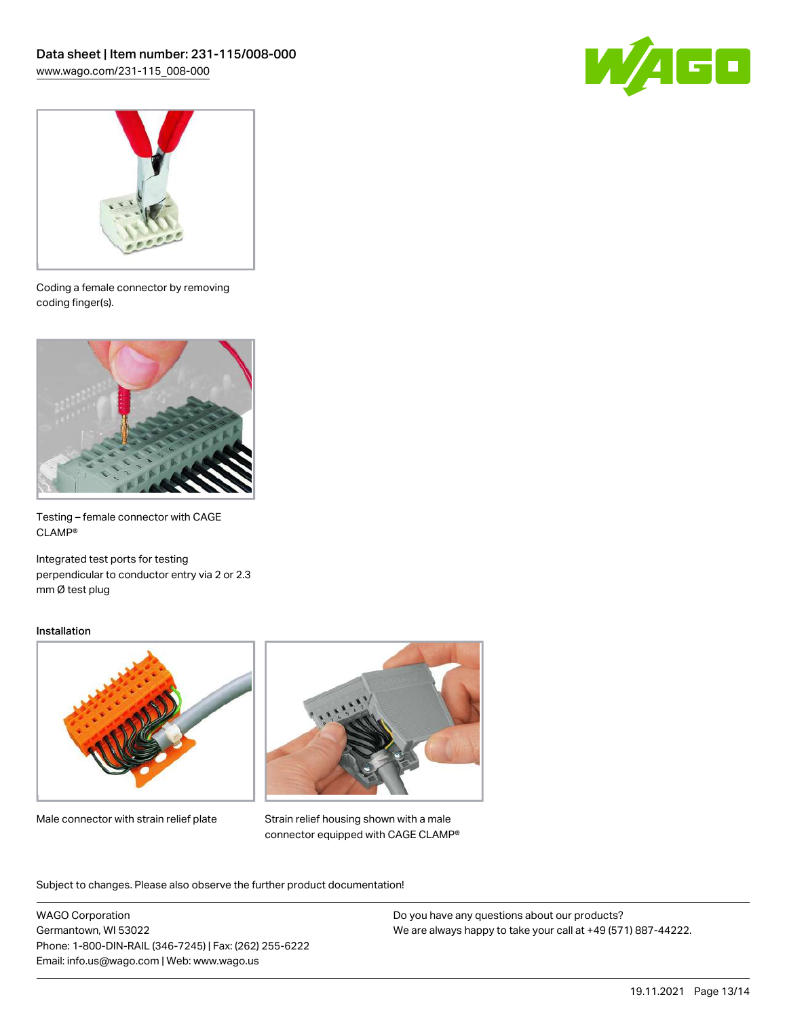



Coding a female connector by removing coding finger(s).



Testing – female connector with CAGE CLAMP®

Integrated test ports for testing perpendicular to conductor entry via 2 or 2.3 mm Ø test plug

### Installation



Male connector with strain relief plate



Strain relief housing shown with a male connector equipped with CAGE CLAMP®

Subject to changes. Please also observe the further product documentation!

WAGO Corporation Germantown, WI 53022 Phone: 1-800-DIN-RAIL (346-7245) | Fax: (262) 255-6222 Email: info.us@wago.com | Web: www.wago.us